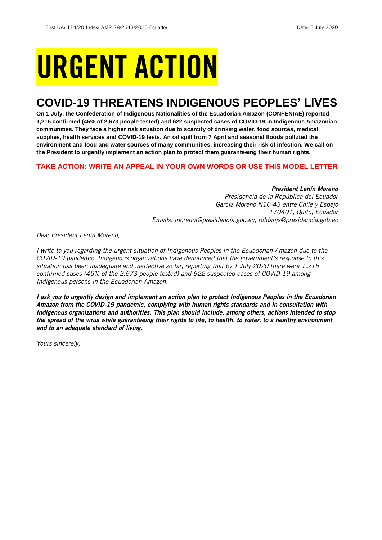# URGENT ACTION

## **COVID-19 THREATENS INDIGENOUS PEOPLES' LIVES**

**On 1 July, the Confederation of Indigenous Nationalities of the Ecuadorian Amazon (CONFENIAE) reported 1,215 confirmed (45% of 2,673 people tested) and 622 suspected cases of COVID-19 in Indigenous Amazonian communities. They face a higher risk situation due to scarcity of drinking water, food sources, medical supplies, health services and COVID-19 tests. An oil spill from 7 April and seasonal floods polluted the environment and food and water sources of many communities, increasing their risk of infection. We call on the President to urgently implement an action plan to protect them guaranteeing their human rights.**

#### **TAKE ACTION: WRITE AN APPEAL IN YOUR OWN WORDS OR USE THIS MODEL LETTER**

#### *President Lenín Moreno*

*Presidencia de la República del Ecuador García Moreno N10-43 entre Chile y Espejo 170401, Quito, Ecuador Emails: morenol@presidencia.gob.ec; roldanjs@presidencia.gob.ec* 

*Dear President Lenín Moreno,*

*I write to you regarding the urgent situation of Indigenous Peoples in the Ecuadorian Amazon due to the COVID-19 pandemic. Indigenous organizations have denounced that the government's response to this situation has been inadequate and ineffective so far, reporting that by 1 July 2020 there were 1,215 confirmed cases (45% of the 2,673 people tested) and 622 suspected cases of COVID-19 among Indigenous persons in the Ecuadorian Amazon.*

*I ask you to urgently design and implement an action plan to protect Indigenous Peoples in the Ecuadorian Amazon from the COVID-19 pandemic, complying with human rights standards and in consultation with Indigenous organizations and authorities. This plan should include, among others, actions intended to stop the spread of the virus while guaranteeing their rights to life, to health, to water, to a healthy environment and to an adequate standard of living.*

*Yours sincerely,*